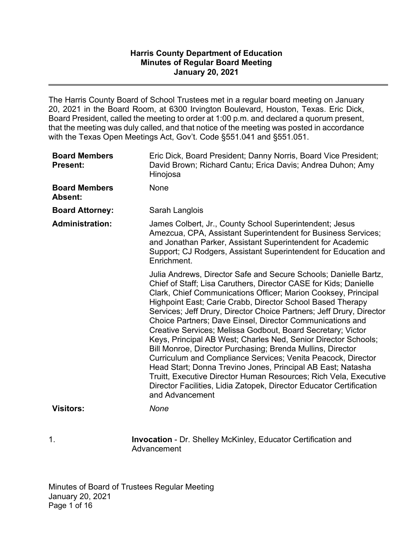## **January 20, 2021 Harris County Department of Education Minutes of Regular Board Meeting**

The Harris County Board of School Trustees met in a regular board meeting on January 20, 2021 in the Board Room, at 6300 Irvington Boulevard, Houston, Texas. Eric Dick, Board President, called the meeting to order at 1:00 p.m. and declared a quorum present, that the meeting was duly called, and that notice of the meeting was posted in accordance with the Texas Open Meetings Act, Gov't. Code §551.041 and §551.051.

| <b>Board Members</b><br><b>Present:</b> | Eric Dick, Board President; Danny Norris, Board Vice President;<br>David Brown; Richard Cantu; Erica Davis; Andrea Duhon; Amy<br>Hinojosa                                                                                                                                                                                                                                                                                                                                                                                                                                                                                                                                                                                                                                                                                                                                                             |
|-----------------------------------------|-------------------------------------------------------------------------------------------------------------------------------------------------------------------------------------------------------------------------------------------------------------------------------------------------------------------------------------------------------------------------------------------------------------------------------------------------------------------------------------------------------------------------------------------------------------------------------------------------------------------------------------------------------------------------------------------------------------------------------------------------------------------------------------------------------------------------------------------------------------------------------------------------------|
| <b>Board Members</b><br>Absent:         | None                                                                                                                                                                                                                                                                                                                                                                                                                                                                                                                                                                                                                                                                                                                                                                                                                                                                                                  |
| <b>Board Attorney:</b>                  | Sarah Langlois                                                                                                                                                                                                                                                                                                                                                                                                                                                                                                                                                                                                                                                                                                                                                                                                                                                                                        |
| <b>Administration:</b>                  | James Colbert, Jr., County School Superintendent; Jesus<br>Amezcua, CPA, Assistant Superintendent for Business Services;<br>and Jonathan Parker, Assistant Superintendent for Academic<br>Support; CJ Rodgers, Assistant Superintendent for Education and<br>Enrichment.                                                                                                                                                                                                                                                                                                                                                                                                                                                                                                                                                                                                                              |
|                                         | Julia Andrews, Director Safe and Secure Schools; Danielle Bartz,<br>Chief of Staff; Lisa Caruthers, Director CASE for Kids; Danielle<br>Clark, Chief Communications Officer; Marion Cooksey, Principal<br>Highpoint East; Carie Crabb, Director School Based Therapy<br>Services; Jeff Drury, Director Choice Partners; Jeff Drury, Director<br>Choice Partners; Dave Einsel, Director Communications and<br>Creative Services; Melissa Godbout, Board Secretary; Victor<br>Keys, Principal AB West; Charles Ned, Senior Director Schools;<br>Bill Monroe, Director Purchasing; Brenda Mullins, Director<br>Curriculum and Compliance Services; Venita Peacock, Director<br>Head Start; Donna Trevino Jones, Principal AB East; Natasha<br>Truitt, Executive Director Human Resources; Rich Vela, Executive<br>Director Facilities, Lidia Zatopek, Director Educator Certification<br>and Advancement |
| <b>Visitors:</b>                        | None                                                                                                                                                                                                                                                                                                                                                                                                                                                                                                                                                                                                                                                                                                                                                                                                                                                                                                  |
| 1.                                      | <b>Invocation - Dr. Shelley McKinley, Educator Certification and</b>                                                                                                                                                                                                                                                                                                                                                                                                                                                                                                                                                                                                                                                                                                                                                                                                                                  |

Advancement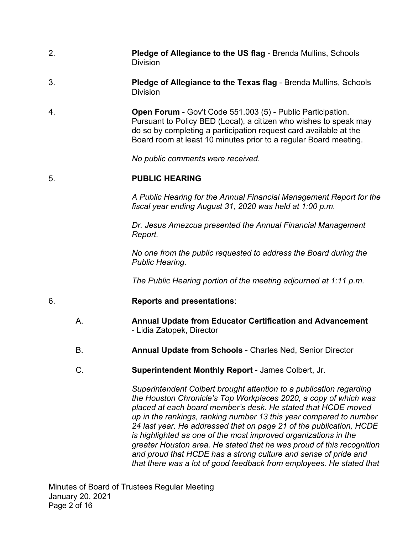- 2. **Pledge of Allegiance to the US flag**  Brenda Mullins, Schools **Division**
- 3. **Pledge of Allegiance to the Texas flag**  Brenda Mullins, Schools Division
- Pursuant to Policy BED (Local), a citizen who wishes to speak may 4. **Open Forum** - Gov't Code 551.003 (5) - Public Participation. do so by completing a participation request card available at the Board room at least 10 minutes prior to a regular Board meeting.

*No public comments were received.* 

## 5. **PUBLIC HEARING**

 *fiscal year ending August 31, 2020 was held at 1:00 p.m. A Public Hearing for the Annual Financial Management Report for the* 

*Dr. Jesus Amezcua presented the Annual Financial Management Report.* 

 *Public Hearing. No one from the public requested to address the Board during the* 

*The Public Hearing portion of the meeting adjourned at 1:11 p.m.* 

### 6. **Reports and presentations**:

- A. **Annual Update from Educator Certification and Advancement**  - Lidia Zatopek, Director
- B. **Annual Update from Schools**  Charles Ned, Senior Director
- C. **Superintendent Monthly Report**  James Colbert, Jr.

 *that there was a lot of good feedback from employees. He stated that Superintendent Colbert brought attention to a publication regarding the Houston Chronicle's Top Workplaces 2020, a copy of which was placed at each board member's desk. He stated that HCDE moved up in the rankings, ranking number 13 this year compared to number 24 last year. He addressed that on page 21 of the publication, HCDE is highlighted as one of the most improved organizations in the greater Houston area. He stated that he was proud of this recognition and proud that HCDE has a strong culture and sense of pride and*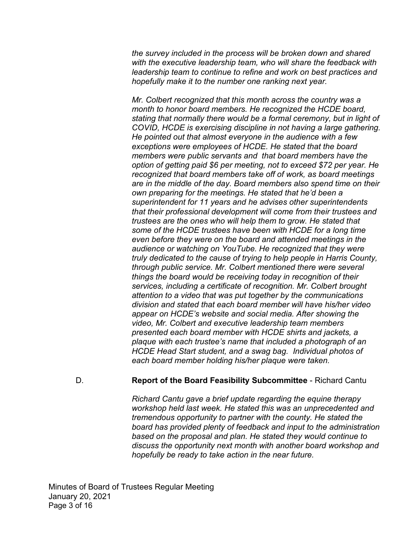*the survey included in the process will be broken down and shared with the executive leadership team, who will share the feedback with leadership team to continue to refine and work on best practices and hopefully make it to the number one ranking next year.* 

 *stating that normally there would be a formal ceremony, but in light of members were public servants and that board members have the HCDE Head Start student, and a swag bag. Individual photos of Mr. Colbert recognized that this month across the country was a month to honor board members. He recognized the HCDE board, COVID, HCDE is exercising discipline in not having a large gathering. He pointed out that almost everyone in the audience with a few exceptions were employees of HCDE. He stated that the board option of getting paid \$6 per meeting, not to exceed \$72 per year. He recognized that board members take off of work, as board meetings are in the middle of the day. Board members also spend time on their own preparing for the meetings. He stated that he'd been a superintendent for 11 years and he advises other superintendents that their professional development will come from their trustees and trustees are the ones who will help them to grow. He stated that some of the HCDE trustees have been with HCDE for a long time even before they were on the board and attended meetings in the audience or watching on YouTube. He recognized that they were truly dedicated to the cause of trying to help people in Harris County, through public service. Mr. Colbert mentioned there were several things the board would be receiving today in recognition of their services, including a certificate of recognition. Mr. Colbert brought attention to a video that was put together by the communications division and stated that each board member will have his/her video appear on HCDE's website and social media. After showing the video, Mr. Colbert and executive leadership team members presented each board member with HCDE shirts and jackets, a plaque with each trustee's name that included a photograph of an each board member holding his/her plaque were taken.* 

### D. **Report of the Board Feasibility Subcommittee** - Richard Cantu

*Richard Cantu gave a brief update regarding the equine therapy workshop held last week. He stated this was an unprecedented and tremendous opportunity to partner with the county. He stated the board has provided plenty of feedback and input to the administration based on the proposal and plan. He stated they would continue to discuss the opportunity next month with another board workshop and hopefully be ready to take action in the near future.*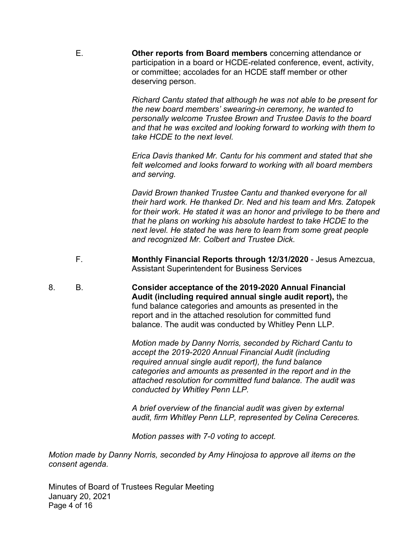participation in a board or HCDE-related conference, event, activity, E. **Other reports from Board members** concerning attendance or or committee; accolades for an HCDE staff member or other deserving person.

> *Richard Cantu stated that although he was not able to be present for take HCDE to the next level. the new board members' swearing-in ceremony, he wanted to personally welcome Trustee Brown and Trustee Davis to the board and that he was excited and looking forward to working with them to*

*Erica Davis thanked Mr. Cantu for his comment and stated that she felt welcomed and looks forward to working with all board members and serving.* 

*David Brown thanked Trustee Cantu and thanked everyone for all their hard work. He thanked Dr. Ned and his team and Mrs. Zatopek for their work. He stated it was an honor and privilege to be there and that he plans on working his absolute hardest to take HCDE to the next level. He stated he was here to learn from some great people and recognized Mr. Colbert and Trustee Dick.* 

- F. **Monthly Financial Reports through 12/31/2020**  Jesus Amezcua, Assistant Superintendent for Business Services
- 8. B. **Consider acceptance of the 2019-2020 Annual Financial Audit (including required annual single audit report),** the fund balance categories and amounts as presented in the report and in the attached resolution for committed fund balance. The audit was conducted by Whitley Penn LLP.

 *required annual single audit report), the fund balance Motion made by Danny Norris, seconded by Richard Cantu to accept the 2019-2020 Annual Financial Audit (including categories and amounts as presented in the report and in the attached resolution for committed fund balance. The audit was conducted by Whitley Penn LLP.* 

*A brief overview of the financial audit was given by external audit, firm Whitley Penn LLP, represented by Celina Cereceres.* 

*Motion passes with 7-0 voting to accept.* 

*Motion made by Danny Norris, seconded by Amy Hinojosa to approve all items on the consent agenda.* 

 January 20, 2021 Minutes of Board of Trustees Regular Meeting Page 4 of 16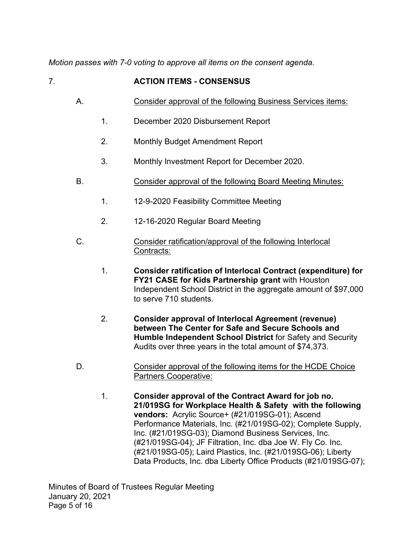*Motion passes with 7-0 voting to approve all items on the consent agenda.* 

# 7. **ACTION ITEMS - CONSENSUS**

- A. Consider approval of the following Business Services items:
	- 1. December 2020 Disbursement Report
	- 2. Monthly Budget Amendment Report
	- 3. Monthly Investment Report for December 2020.
- B. Consider approval of the following Board Meeting Minutes:
	- 1. 12-9-2020 Feasibility Committee Meeting
	- 2. 12-16-2020 Regular Board Meeting
- C. Consider ratification/approval of the following Interlocal Contracts:
	- 1. **Consider ratification of Interlocal Contract (expenditure) for FY21 CASE for Kids Partnership grant** with Houston Independent School District in the aggregate amount of \$97,000 to serve 710 students.
	- 2. **Consider approval of Interlocal Agreement (revenue) between The Center for Safe and Secure Schools and Humble Independent School District** for Safety and Security Audits over three years in the total amount of \$74,373.
- D. Consider approval of the following items for the HCDE Choice Partners Cooperative:
	- **21/019SG for Workplace Health & Safety with the following vendors:** Acrylic Source+ (#21/019SG-01); Ascend Inc. (#21/019SG-03); Diamond Business Services, Inc. (#21/019SG-04); JF Filtration, Inc. dba Joe W. Fly Co. Inc. (#21/019SG-05); Laird Plastics, Inc. (#21/019SG-06); Liberty 1. **Consider approval of the Contract Award for job no.**  Performance Materials, Inc. (#21/019SG-02); Complete Supply, Data Products, Inc. dba Liberty Office Products (#21/019SG-07);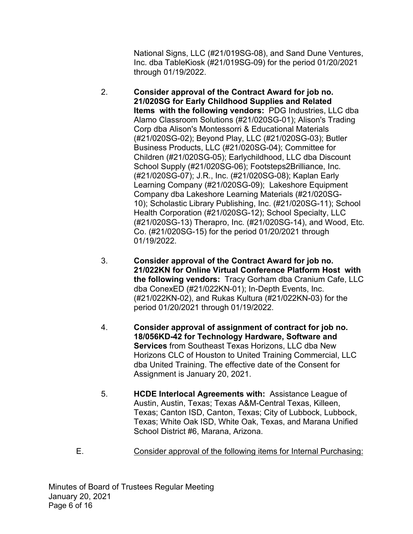National Signs, LLC (#21/019SG-08), and Sand Dune Ventures, Inc. dba TableKiosk (#21/019SG-09) for the period 01/20/2021 through 01/19/2022.

- **Items with the following vendors:** PDG Industries, LLC dba 10); Scholastic Library Publishing, Inc. (#21/020SG-11); School 2. **Consider approval of the Contract Award for job no. 21/020SG for Early Childhood Supplies and Related**  Alamo Classroom Solutions (#21/020SG-01); Alison's Trading Corp dba Alison's Montessorri & Educational Materials (#21/020SG-02); Beyond Play, LLC (#21/020SG-03); Butler Business Products, LLC (#21/020SG-04); Committee for Children (#21/020SG-05); Earlychildhood, LLC dba Discount School Supply (#21/020SG-06); Footsteps2Brilliance, Inc. (#21/020SG-07); J.R., Inc. (#21/020SG-08); Kaplan Early Learning Company (#21/020SG-09); Lakeshore Equipment Company dba Lakeshore Learning Materials (#21/020SG-Health Corporation (#21/020SG-12); School Specialty, LLC (#21/020SG-13) Therapro, Inc. (#21/020SG-14), and Wood, Etc. Co. (#21/020SG-15) for the period 01/20/2021 through 01/19/2022.
- **21/022KN for Online Virtual Conference Platform Host with the following vendors:** Tracy Gorham dba Cranium Cafe, LLC 3. **Consider approval of the Contract Award for job no.**  dba ConexED (#21/022KN-01); In-Depth Events, Inc. (#21/022KN-02), and Rukas Kultura (#21/022KN-03) for the period 01/20/2021 through 01/19/2022.
- 4. **Consider approval of assignment of contract for job no. 18/056KD-42 for Technology Hardware, Software and Services** from Southeast Texas Horizons, LLC dba New Horizons CLC of Houston to United Training Commercial, LLC dba United Training. The effective date of the Consent for Assignment is January 20, 2021.
- Texas; White Oak ISD, White Oak, Texas, and Marana Unified 5. **HCDE Interlocal Agreements with:** Assistance League of Austin, Austin, Texas; Texas A&M-Central Texas, Killeen, Texas; Canton ISD, Canton, Texas; City of Lubbock, Lubbock, School District #6, Marana, Arizona.
- E. Consider approval of the following items for Internal Purchasing: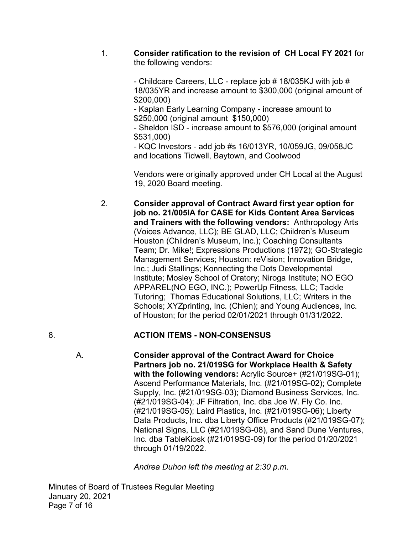1. **Consider ratification to the revision of CH Local FY 2021** for the following vendors:

> - Childcare Careers, LLC - replace job  $\#$  18/035KJ with job  $\#$ 18/035YR and increase amount to \$300,000 (original amount of \$200,000)

 \$250,000 (original amount \$150,000) - Kaplan Early Learning Company - increase amount to

- Sheldon ISD - increase amount to \$576,000 (original amount \$531,000)

- KQC Investors - add job #s 16/013YR, 10/059JG, 09/058JC and locations Tidwell, Baytown, and Coolwood

 Vendors were originally approved under CH Local at the August 19, 2020 Board meeting.

 **job no. 21/005IA for CASE for Kids Content Area Services and Trainers with the following vendors:** Anthropology Arts Tutoring; Thomas Educational Solutions, LLC; Writers in the of Houston; for the period 02/01/2021 through 01/31/2022. 2. **Consider approval of Contract Award first year option for**  (Voices Advance, LLC); BE GLAD, LLC; Children's Museum Houston (Children's Museum, Inc.); Coaching Consultants Team; Dr. Mike!; Expressions Productions (1972); GO-Strategic Management Services; Houston: reVision; Innovation Bridge, Inc.; Judi Stallings; Konnecting the Dots Developmental Institute; Mosley School of Oratory; Niroga Institute; NO EGO APPAREL(NO EGO, INC.); PowerUp Fitness, LLC; Tackle Schools; XYZprinting, Inc. (Chien); and Young Audiences, Inc.

# 8. **ACTION ITEMS - NON-CONSENSUS**

 (#21/019SG-04); JF Filtration, Inc. dba Joe W. Fly Co. Inc. (#21/019SG-05); Laird Plastics, Inc. (#21/019SG-06); Liberty A. **Consider approval of the Contract Award for Choice Partners job no. 21/019SG for Workplace Health & Safety with the following vendors:** Acrylic Source+ (#21/019SG-01); Ascend Performance Materials, Inc. (#21/019SG-02); Complete Supply, Inc. (#21/019SG-03); Diamond Business Services, Inc. Data Products, Inc. dba Liberty Office Products (#21/019SG-07); National Signs, LLC (#21/019SG-08), and Sand Dune Ventures, Inc. dba TableKiosk (#21/019SG-09) for the period 01/20/2021 through 01/19/2022.

*Andrea Duhon left the meeting at 2:30 p.m.*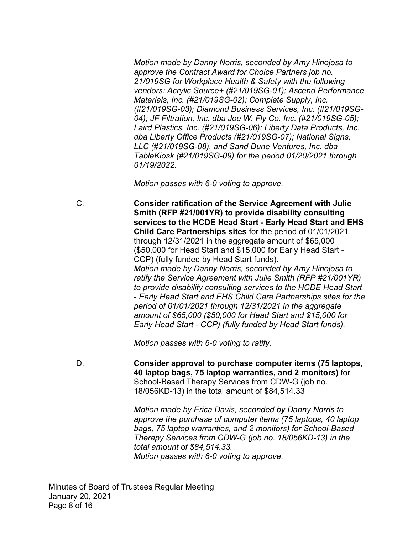*04); JF Filtration, Inc. dba Joe W. Fly Co. Inc. (#21/019SG-05); Motion made by Danny Norris, seconded by Amy Hinojosa to approve the Contract Award for Choice Partners job no. 21/019SG for Workplace Health & Safety with the following vendors: Acrylic Source+ (#21/019SG-01); Ascend Performance Materials, Inc. (#21/019SG-02); Complete Supply, Inc. (#21/019SG-03); Diamond Business Services, Inc. (#21/019SG-Laird Plastics, Inc. (#21/019SG-06); Liberty Data Products, Inc. dba Liberty Office Products (#21/019SG-07); National Signs, LLC (#21/019SG-08), and Sand Dune Ventures, Inc. dba TableKiosk (#21/019SG-09) for the period 01/20/2021 through 01/19/2022.* 

*Motion passes with 6-0 voting to approve.* 

 **services to the HCDE Head Start - Early Head Start and EHS**  through 12/31/2021 in the aggregate amount of \$65,000  *Motion made by Danny Norris, seconded by Amy Hinojosa to - Early Head Start and EHS Child Care Partnerships sites for the Early Head Start - CCP) (fully funded by Head Start funds).*  C. **Consider ratification of the Service Agreement with Julie Smith (RFP #21/001YR) to provide disability consulting Child Care Partnerships sites** for the period of 01/01/2021 (\$50,000 for Head Start and \$15,000 for Early Head Start - CCP) (fully funded by Head Start funds). *ratify the Service Agreement with Julie Smith (RFP #21/001YR) to provide disability consulting services to the HCDE Head Start period of 01/01/2021 through 12/31/2021 in the aggregate amount of \$65,000 (\$50,000 for Head Start and \$15,000 for* 

*Motion passes with 6-0 voting to ratify.* 

 D. **Consider approval to purchase computer items (75 laptops, 40 laptop bags, 75 laptop warranties, and 2 monitors)** for School-Based Therapy Services from CDW-G (job no. 18/056KD-13) in the total amount of \$[84,514.33](https://84,514.33)

> *approve the purchase of computer items (75 laptops, 40 laptop Motion made by Erica Davis, seconded by Danny Norris to bags, 75 laptop warranties, and 2 monitors) for School-Based Therapy Services from CDW-G (job no. 18/056KD-13) in the total amount of \$[84,514.33](https://84,514.33). Motion passes with 6-0 voting to approve.*

 January 20, 2021 Minutes of Board of Trustees Regular Meeting Page 8 of 16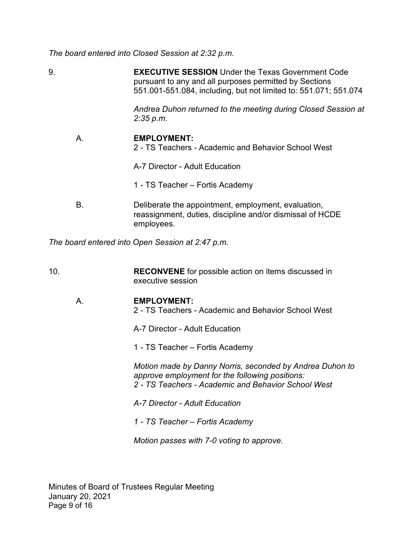*The board entered into Closed Session at 2:32 p.m.* 

9. **EXECUTIVE SESSION** Under the Texas Government Code pursuant to any and all purposes permitted by Sections 551.001-551.084, including, but not limited to: 551.071; 551.074

> *Andrea Duhon returned to the meeting during Closed Session at 2:35 p.m.*

# A. **EMPLOYMENT:**

- 2 TS Teachers Academic and Behavior School West
- A-7 Director Adult Education
- 1 TS Teacher Fortis Academy
- B. Deliberate the appointment, employment, evaluation, reassignment, duties, discipline and/or dismissal of HCDE employees.

*The board entered into Open Session at 2:47 p.m.* 

10. **RECONVENE** for possible action on items discussed in executive session

### A. **EMPLOYMENT:**

2 - TS Teachers - Academic and Behavior School West

A-7 Director - Adult Education

1 - TS Teacher – Fortis Academy

*Motion made by Danny Norris, seconded by Andrea Duhon to approve employment for the following positions: 2 - TS Teachers - Academic and Behavior School West* 

- *A-7 Director - Adult Education*
- *1 - TS Teacher Fortis Academy*

*Motion passes with 7-0 voting to approve.*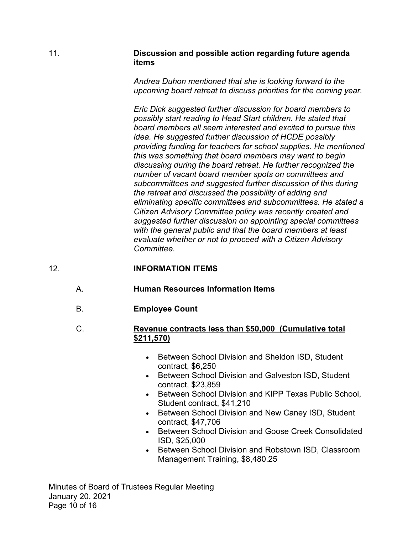#### 11. **Discussion and possible action regarding future agenda items**

*Andrea Duhon mentioned that she is looking forward to the upcoming board retreat to discuss priorities for the coming year.* 

 *number of vacant board member spots on committees and with the general public and that the board members at least Eric Dick suggested further discussion for board members to possibly start reading to Head Start children. He stated that board members all seem interested and excited to pursue this idea. He suggested further discussion of HCDE possibly providing funding for teachers for school supplies. He mentioned this was something that board members may want to begin discussing during the board retreat. He further recognized the subcommittees and suggested further discussion of this during the retreat and discussed the possibility of adding and eliminating specific committees and subcommittees. He stated a Citizen Advisory Committee policy was recently created and suggested further discussion on appointing special committees evaluate whether or not to proceed with a Citizen Advisory Committee.* 

# 12. **INFORMATION ITEMS**

- A. **Human Resources Information Items**
- B. **Employee Count**

### **\$211,570)** C. **Revenue contracts less than \$50,000 (Cumulative total**

- Between School Division and Sheldon ISD, Student contract, \$6,250
- Between School Division and Galveston ISD, Student contract, \$23,859
- Between School Division and KIPP Texas Public School, Student contract, \$41,210
- Between School Division and New Caney ISD, Student contract, \$47,706
- Between School Division and Goose Creek Consolidated ISD, \$25,000
- Between School Division and Robstown ISD, Classroom Management Training, [\\$8,480.25](https://8,480.25)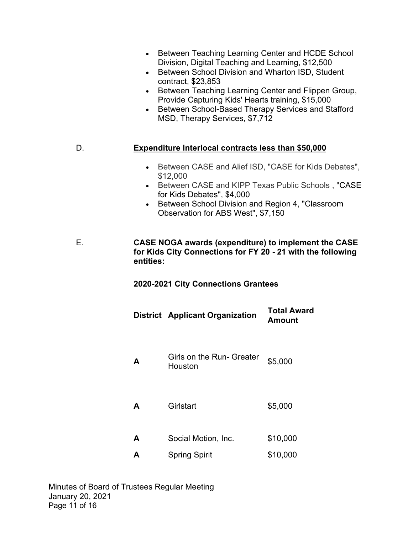- Between Teaching Learning Center and HCDE School Division, Digital Teaching and Learning, \$12,500
- • Between School Division and Wharton ISD, Student contract, \$23,853
- Provide Capturing Kids' Hearts training, \$15,000 • Between Teaching Learning Center and Flippen Group,
- MSD, Therapy Services, \$7,712 • Between School-Based Therapy Services and Stafford

# D. **Expenditure Interlocal contracts less than \$50,000**

- Between CASE and Alief ISD, "CASE for Kids Debates", \$12,000
- Between CASE and KIPP Texas Public Schools , "CASE for Kids Debates", \$4,000
- Between School Division and Region 4, "Classroom Observation for ABS West", \$7,150
- **for Kids City Connections for FY 20 - 21 with the following**  E. **CASE NOGA awards (expenditure) to implement the CASE entities:**

**2020-2021 City Connections Grantees** 

|   | <b>District</b> Applicant Organization | <b>Total Award</b><br>Amount |
|---|----------------------------------------|------------------------------|
| A | Girls on the Run- Greater<br>Houston   | \$5,000                      |
| A | Girlstart                              | \$5,000                      |
| A | Social Motion, Inc.                    | \$10,000                     |
| A | <b>Spring Spirit</b>                   | \$10,000                     |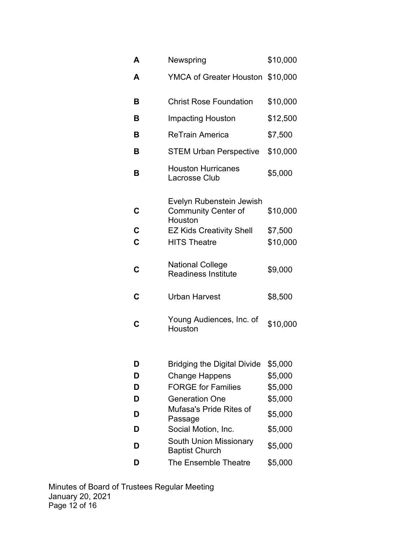| Α                   | Newspring                                                         | \$10,000            |
|---------------------|-------------------------------------------------------------------|---------------------|
| A                   | YMCA of Greater Houston \$10,000                                  |                     |
| В                   | <b>Christ Rose Foundation</b>                                     | \$10,000            |
| В                   | <b>Impacting Houston</b>                                          | \$12,500            |
| В                   | <b>ReTrain America</b>                                            | \$7,500             |
| в                   | <b>STEM Urban Perspective</b>                                     | \$10,000            |
| В                   | <b>Houston Hurricanes</b><br><b>Lacrosse Club</b>                 | \$5,000             |
| C                   | Evelyn Rubenstein Jewish<br><b>Community Center of</b><br>Houston | \$10,000            |
| $\overline{c}$<br>Ć | <b>EZ Kids Creativity Shell</b><br><b>HITS Theatre</b>            | \$7,500<br>\$10,000 |
| C                   | <b>National College</b><br><b>Readiness Institute</b>             | \$9,000             |
| C                   | <b>Urban Harvest</b>                                              | \$8,500             |
| C                   | Young Audiences, Inc. of<br>Houston                               | \$10,000            |
| D                   | <b>Bridging the Digital Divide</b>                                | \$5,000             |
| D                   | <b>Change Happens</b>                                             | \$5,000             |
| D                   | <b>FORGE for Families</b>                                         | \$5,000             |
| D                   | <b>Generation One</b>                                             | \$5,000             |
| D                   | Mufasa's Pride Rites of<br>Passage                                | \$5,000             |
| D                   | Social Motion, Inc.                                               | \$5,000             |
| D                   | <b>South Union Missionary</b><br><b>Baptist Church</b>            | \$5,000             |
| D                   | The Ensemble Theatre                                              | \$5,000             |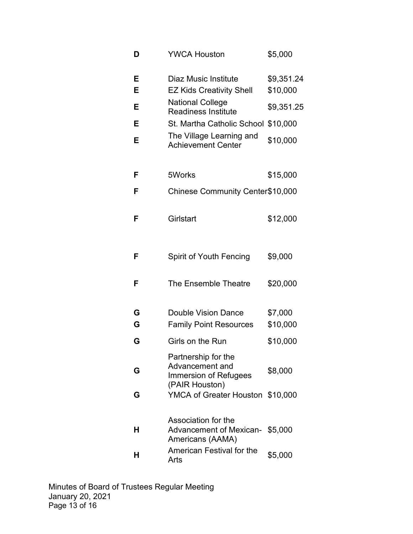| D      | <b>YWCA Houston</b>                                                                      | \$5,000                |
|--------|------------------------------------------------------------------------------------------|------------------------|
| Е<br>Е | <b>Diaz Music Institute</b><br><b>EZ Kids Creativity Shell</b>                           | \$9,351.24<br>\$10,000 |
| Е      | <b>National College</b><br><b>Readiness Institute</b>                                    | \$9,351.25             |
| Е      | <b>St. Martha Catholic School</b>                                                        | \$10,000               |
| Е      | The Village Learning and<br><b>Achievement Center</b>                                    | \$10,000               |
| F      | 5Works                                                                                   | \$15,000               |
| F      | Chinese Community Center\$10,000                                                         |                        |
| F      | Girlstart                                                                                | \$12,000               |
| F      | <b>Spirit of Youth Fencing</b>                                                           | \$9,000                |
| F      | The Ensemble Theatre                                                                     | \$20,000               |
| G      | Double Vision Dance                                                                      | \$7,000                |
| G      | <b>Family Point Resources</b>                                                            | \$10,000               |
| G      | Girls on the Run                                                                         | \$10,000               |
| G      | Partnership for the<br>Advancement and<br><b>Immersion of Refugees</b><br>(PAIR Houston) | \$8,000                |
| G      | YMCA of Greater Houston \$10,000                                                         |                        |
| н      | Association for the<br>Advancement of Mexican- \$5,000<br>Americans (AAMA)               |                        |
| н      | American Festival for the<br>Arts                                                        | \$5,000                |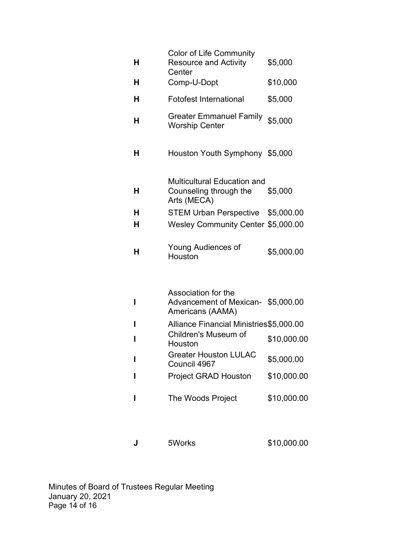| H. | <b>Color of Life Community</b><br><b>Resource and Activity</b><br>Center      | \$5,000     |
|----|-------------------------------------------------------------------------------|-------------|
| н  | Comp-U-Dopt                                                                   | \$10,000    |
| н  | <b>Fotofest International</b>                                                 | \$5,000     |
| н  | <b>Greater Emmanuel Family</b><br><b>Worship Center</b>                       | \$5,000     |
| н  | Houston Youth Symphony \$5,000                                                |             |
| н  | <b>Multicultural Education and</b><br>Counseling through the<br>Arts (MECA)   | \$5,000     |
| н  | STEM Urban Perspective \$5,000.00                                             |             |
| н  | Wesley Community Center \$5,000.00                                            |             |
| н  | Young Audiences of<br>Houston                                                 | \$5,000.00  |
| ı  | Association for the<br>Advancement of Mexican- \$5,000.00<br>Americans (AAMA) |             |
| ı  | Alliance Financial Ministries\$5,000.00                                       |             |
| ı  | Children's Museum of<br>Houston                                               | \$10,000.00 |
| ı  | <b>Greater Houston LULAC</b><br>Council 4967                                  | \$5,000.00  |
| I  | <b>Project GRAD Houston</b>                                                   | \$10,000.00 |
| ı  | The Woods Project                                                             | \$10,000.00 |

**J** 5Works \$[10,000.00](https://10,000.00)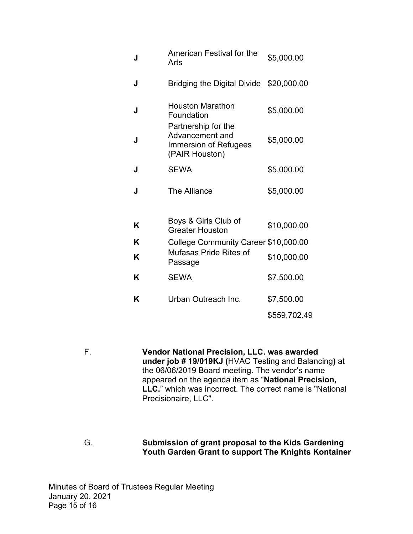| J | <b>American Festival for the</b><br>Arts                                                 | \$5,000.00   |
|---|------------------------------------------------------------------------------------------|--------------|
| J | Bridging the Digital Divide \$20,000.00                                                  |              |
| J | <b>Houston Marathon</b><br>Foundation                                                    | \$5,000.00   |
| J | Partnership for the<br>Advancement and<br><b>Immersion of Refugees</b><br>(PAIR Houston) | \$5,000.00   |
| J | <b>SEWA</b>                                                                              | \$5,000.00   |
| J | <b>The Alliance</b>                                                                      | \$5,000.00   |
|   | Boys & Girls Club of                                                                     |              |
| K | <b>Greater Houston</b>                                                                   | \$10,000.00  |
| K | College Community Career \$10,000.00                                                     |              |
| K | Mufasas Pride Rites of<br>Passage                                                        | \$10,000.00  |
| K | <b>SEWA</b>                                                                              | \$7,500.00   |
| K | Urban Outreach Inc.                                                                      | \$7,500.00   |
|   |                                                                                          | \$559,702.49 |

F. **Vendor National Precision, LLC. was awarded under job # 19/019KJ (**HVAC Testing and Balancing**)** at the 06/06/2019 Board meeting. The vendor's name appeared on the agenda item as "**National Precision, LLC.**" which was incorrect. The correct name is "National Precisionaire, LLC".

G. **Submission of grant proposal to the Kids Gardening Youth Garden Grant to support The Knights Kontainer** 

 January 20, 2021 Minutes of Board of Trustees Regular Meeting Page 15 of 16